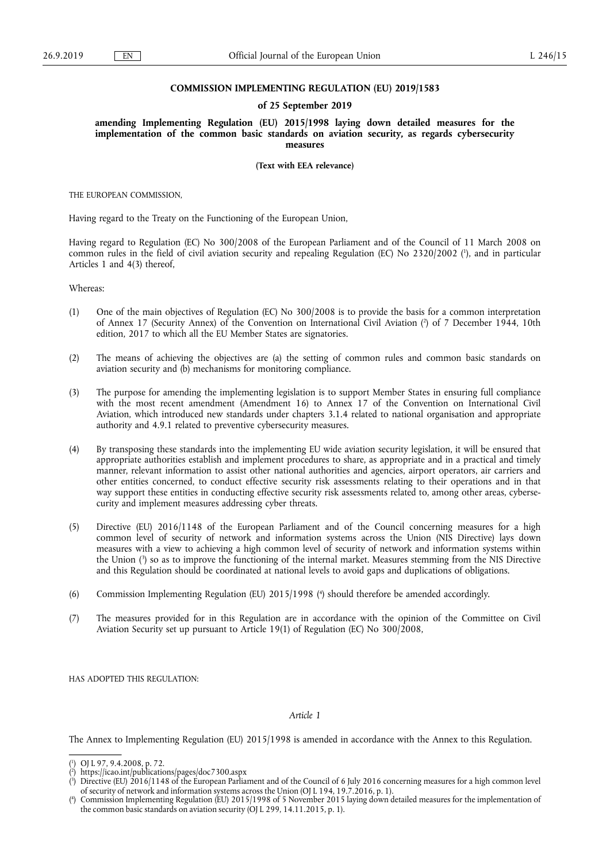## **COMMISSION IMPLEMENTING REGULATION (EU) 2019/1583**

## **of 25 September 2019**

**amending Implementing Regulation (EU) 2015/1998 laying down detailed measures for the implementation of the common basic standards on aviation security, as regards cybersecurity measures** 

**(Text with EEA relevance)** 

THE EUROPEAN COMMISSION,

Having regard to the Treaty on the Functioning of the European Union,

Having regard to Regulation (EC) No 300/2008 of the European Parliament and of the Council of 11 March 2008 on common rules in the field of civil aviation security and repealing Regulation (EC) No 2320/2002 ( 1 ), and in particular Articles 1 and 4(3) thereof,

Whereas:

- (1) One of the main objectives of Regulation (EC) No 300/2008 is to provide the basis for a common interpretation of Annex 17 (Security Annex) of the Convention on International Civil Aviation ( 2 ) of 7 December 1944, 10th edition, 2017 to which all the EU Member States are signatories.
- (2) The means of achieving the objectives are (a) the setting of common rules and common basic standards on aviation security and (b) mechanisms for monitoring compliance.
- (3) The purpose for amending the implementing legislation is to support Member States in ensuring full compliance with the most recent amendment (Amendment 16) to Annex 17 of the Convention on International Civil Aviation, which introduced new standards under chapters 3.1.4 related to national organisation and appropriate authority and 4.9.1 related to preventive cybersecurity measures.
- (4) By transposing these standards into the implementing EU wide aviation security legislation, it will be ensured that appropriate authorities establish and implement procedures to share, as appropriate and in a practical and timely manner, relevant information to assist other national authorities and agencies, airport operators, air carriers and other entities concerned, to conduct effective security risk assessments relating to their operations and in that way support these entities in conducting effective security risk assessments related to, among other areas, cybersecurity and implement measures addressing cyber threats.
- (5) Directive (EU) 2016/1148 of the European Parliament and of the Council concerning measures for a high common level of security of network and information systems across the Union (NIS Directive) lays down measures with a view to achieving a high common level of security of network and information systems within the Union ( 3 ) so as to improve the functioning of the internal market. Measures stemming from the NIS Directive and this Regulation should be coordinated at national levels to avoid gaps and duplications of obligations.
- (6) Commission Implementing Regulation (EU) 2015/1998 ( 4 ) should therefore be amended accordingly.
- (7) The measures provided for in this Regulation are in accordance with the opinion of the Committee on Civil Aviation Security set up pursuant to Article 19(1) of Regulation (EC) No 300/2008,

HAS ADOPTED THIS REGULATION:

*Article 1* 

The Annex to Implementing Regulation (EU) 2015/1998 is amended in accordance with the Annex to this Regulation.

<sup>(</sup> 1 ) OJ L 97, 9.4.2008, p. 72.

<sup>(</sup> 2 ) <https://icao.int/publications/pages/doc7300.aspx>

<sup>(</sup> 3 ) Directive (EU) 2016/1148 of the European Parliament and of the Council of 6 July 2016 concerning measures for a high common level of security of network and information systems across the Union (OJ L 194, 19.7.2016, p. 1).

<sup>(</sup> 4 ) Commission Implementing Regulation (EU) 2015/1998 of 5 November 2015 laying down detailed measures for the implementation of the common basic standards on aviation security (OJ L 299, 14.11.2015, p. 1).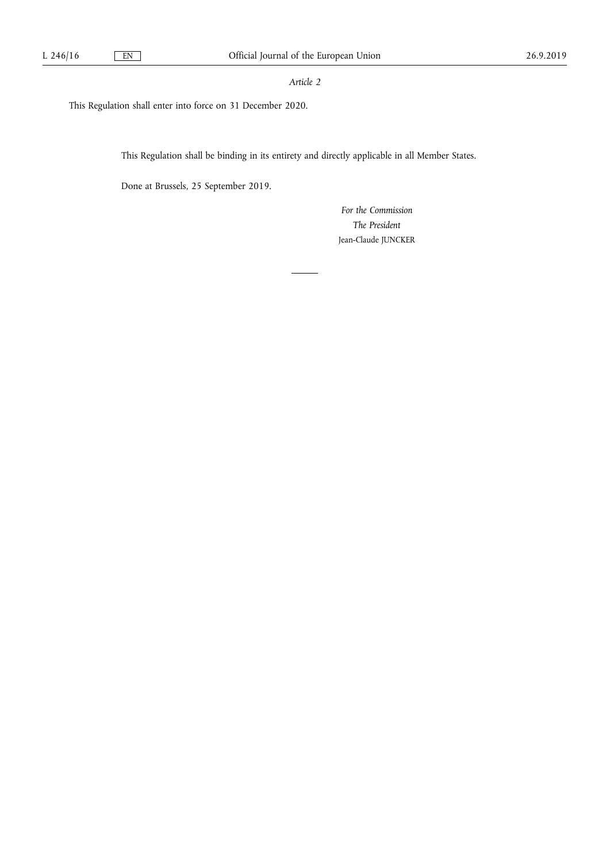## *Article 2*

This Regulation shall enter into force on 31 December 2020.

This Regulation shall be binding in its entirety and directly applicable in all Member States.

Done at Brussels, 25 September 2019.

*For the Commission The President*  Jean-Claude JUNCKER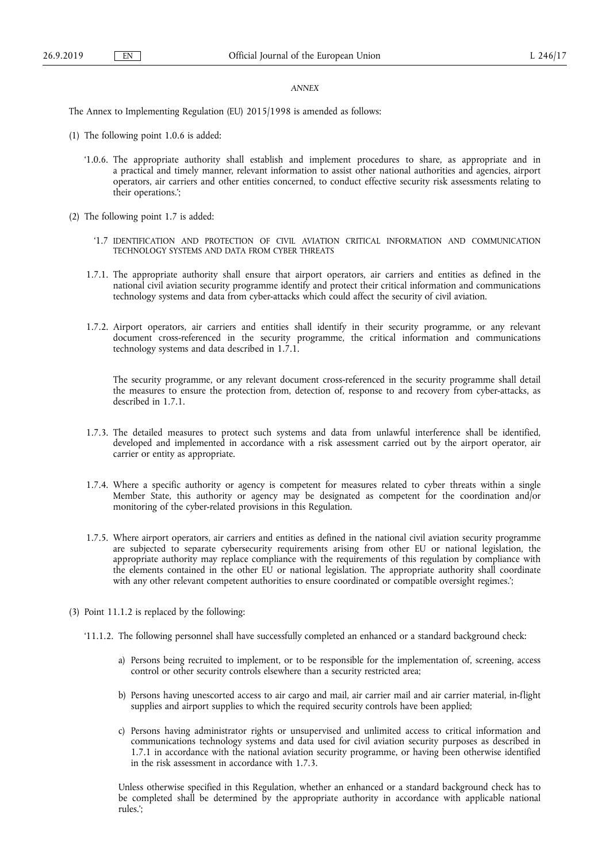## *ANNEX*

The Annex to Implementing Regulation (EU) 2015/1998 is amended as follows:

- (1) The following point 1.0.6 is added:
	- '1.0.6. The appropriate authority shall establish and implement procedures to share, as appropriate and in a practical and timely manner, relevant information to assist other national authorities and agencies, airport operators, air carriers and other entities concerned, to conduct effective security risk assessments relating to their operations.';
- (2) The following point 1.7 is added:
	- '1.7 IDENTIFICATION AND PROTECTION OF CIVIL AVIATION CRITICAL INFORMATION AND COMMUNICATION TECHNOLOGY SYSTEMS AND DATA FROM CYBER THREATS
	- 1.7.1. The appropriate authority shall ensure that airport operators, air carriers and entities as defined in the national civil aviation security programme identify and protect their critical information and communications technology systems and data from cyber-attacks which could affect the security of civil aviation.
	- 1.7.2. Airport operators, air carriers and entities shall identify in their security programme, or any relevant document cross-referenced in the security programme, the critical information and communications technology systems and data described in 1.7.1.

The security programme, or any relevant document cross-referenced in the security programme shall detail the measures to ensure the protection from, detection of, response to and recovery from cyber-attacks, as described in 1.7.1.

- 1.7.3. The detailed measures to protect such systems and data from unlawful interference shall be identified, developed and implemented in accordance with a risk assessment carried out by the airport operator, air carrier or entity as appropriate.
- 1.7.4. Where a specific authority or agency is competent for measures related to cyber threats within a single Member State, this authority or agency may be designated as competent for the coordination and/or monitoring of the cyber-related provisions in this Regulation.
- 1.7.5. Where airport operators, air carriers and entities as defined in the national civil aviation security programme are subjected to separate cybersecurity requirements arising from other EU or national legislation, the appropriate authority may replace compliance with the requirements of this regulation by compliance with the elements contained in the other EU or national legislation. The appropriate authority shall coordinate with any other relevant competent authorities to ensure coordinated or compatible oversight regimes.';
- (3) Point 11.1.2 is replaced by the following:
	- '11.1.2. The following personnel shall have successfully completed an enhanced or a standard background check:
		- a) Persons being recruited to implement, or to be responsible for the implementation of, screening, access control or other security controls elsewhere than a security restricted area;
		- b) Persons having unescorted access to air cargo and mail, air carrier mail and air carrier material, in-flight supplies and airport supplies to which the required security controls have been applied;
		- c) Persons having administrator rights or unsupervised and unlimited access to critical information and communications technology systems and data used for civil aviation security purposes as described in 1.7.1 in accordance with the national aviation security programme, or having been otherwise identified in the risk assessment in accordance with 1.7.3.

Unless otherwise specified in this Regulation, whether an enhanced or a standard background check has to be completed shall be determined by the appropriate authority in accordance with applicable national rules.';